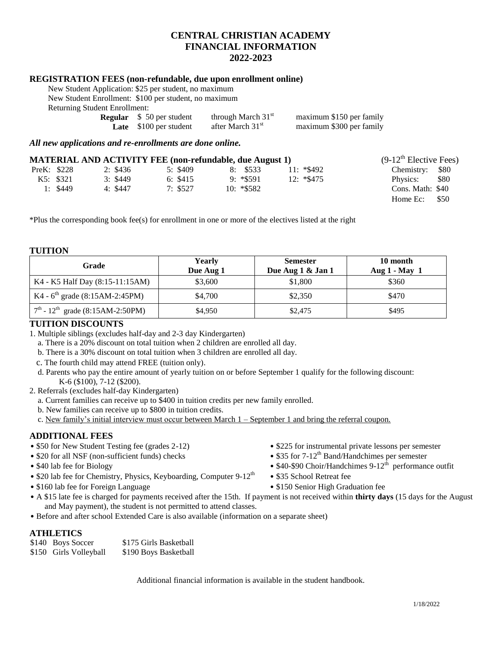# **CENTRAL CHRISTIAN ACADEMY FINANCIAL INFORMATION 2022-2023**

### **REGISTRATION FEES (non-refundable, due upon enrollment online)**

New Student Application: \$25 per student, no maximum maximum

| New Student Enrollment: \$100 per student, no r |  |  |  |
|-------------------------------------------------|--|--|--|
| Returning Student Enrollment:                   |  |  |  |

| <u>suuvelit Liilvillivilt.</u> |                                                                      |                          |  |  |
|--------------------------------|----------------------------------------------------------------------|--------------------------|--|--|
|                                | through March $31st$                                                 | maximum \$150 per family |  |  |
|                                | after March 31 <sup>st</sup>                                         | maximum \$300 per family |  |  |
|                                | <b>Regular</b> $\$ 50$ per student<br><b>Late</b> $$100$ per student |                          |  |  |

*All new applications and re-enrollments are done online.*

| <b>MATERIAL AND ACTIVITY FEE (non-refundable, due August 1)</b> |             |          |          |               | $(9-12^{\text{th}})$ Elective Fees) |                  |
|-----------------------------------------------------------------|-------------|----------|----------|---------------|-------------------------------------|------------------|
|                                                                 | PreK: \$228 | 2: \$436 | 5: \$409 | 8: \$533      | $11: *\$492$                        | Chemistry: \$80  |
|                                                                 | K5: \$321   | 3: \$449 | 6: \$415 | $9: *$ \$591  | $12: *\$475$                        | \$80<br>Physics: |
|                                                                 | 1: $$449$   | 4: \$447 | 7: \$527 | $10: *$ \$582 |                                     | Cons. Math: \$40 |
|                                                                 |             |          |          |               |                                     | Home $Ec:$ \$50  |

\*Plus the corresponding book fee(s) for enrollment in one or more of the electives listed at the right

#### **TUITION**

| Grade                                             | <b>Yearly</b><br>Due Aug 1 | <b>Semester</b><br>Due Aug 1 & Jan 1 | 10 month<br>Aug $1$ - May 1 |
|---------------------------------------------------|----------------------------|--------------------------------------|-----------------------------|
| K4 - K5 Half Day (8:15-11:15AM)                   | \$3,600                    | \$1,800                              | \$360                       |
| K4 - $6^{\text{th}}$ grade (8:15AM-2:45PM)        | \$4,700                    | \$2,350                              | \$470                       |
| $7^{th}$ - 12 <sup>th</sup> grade (8:15AM-2:50PM) | \$4,950                    | \$2,475                              | \$495                       |

## **TUITION DISCOUNTS**

1. Multiple siblings (excludes half-day and 2-3 day Kindergarten)

a. There is a 20% discount on total tuition when 2 children are enrolled all day.

- b. There is a 30% discount on total tuition when 3 children are enrolled all day.
- c. The fourth child may attend FREE (tuition only).
- d. Parents who pay the entire amount of yearly tuition on or before September 1 qualify for the following discount: K-6 (\$100), 7-12 (\$200).
- 2. Referrals (excludes half-day Kindergarten)
	- a. Current families can receive up to \$400 in tuition credits per new family enrolled.
	- b. New families can receive up to \$800 in tuition credits.
	- c. New family's initial interview must occur between March 1 September 1 and bring the referral coupon.

## **ADDITIONAL FEES**

- 
- 
- 
- \$20 lab fee for Chemistry, Physics, Keyboarding, Computer  $9-12<sup>th</sup>$  \$35 School Retreat fee
- \$150 lab fee for Foreign Language \$150 Senior High Graduation fee
- \$50 for New Student Testing fee (grades 2-12) \$225 for instrumental private lessons per semester
- \$20 for all NSF (non-sufficient funds) checks \$35 for 7-12<sup>th</sup> Band/Handchimes per semester
- \$40-\$90 Choir/Handchimes 9-12<sup>th</sup> performance outfit
	-
	-
- A \$15 late fee is charged for payments received after the 15th. If payment is not received within **thirty days** (15 days for the August and May payment), the student is not permitted to attend classes.
- Before and after school Extended Care is also available (information on a separate sheet)

## **ATHLETICS**

| \$140 Boys Soccer      | \$175 Girls Basketball |
|------------------------|------------------------|
| \$150 Girls Volleyball | \$190 Boys Basketball  |

Additional financial information is available in the student handbook.

1/18/2022